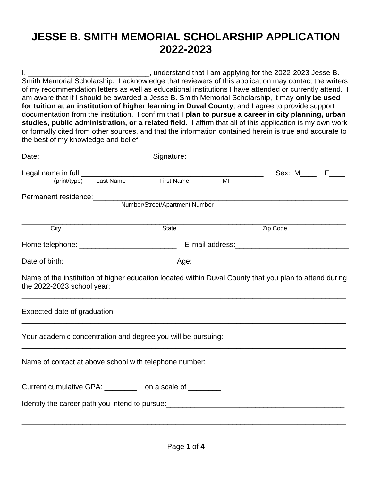## **JESSE B. SMITH MEMORIAL SCHOLARSHIP APPLICATION 2022-2023**

I, \_\_\_\_\_\_\_\_\_\_\_\_\_\_\_\_\_\_\_\_\_\_\_\_\_\_\_\_\_\_, understand that I am applying for the 2022-2023 Jesse B. Smith Memorial Scholarship. I acknowledge that reviewers of this application may contact the writers of my recommendation letters as well as educational institutions I have attended or currently attend. I am aware that if I should be awarded a Jesse B. Smith Memorial Scholarship, it may **only be used for tuition at an institution of higher learning in Duval County**, and I agree to provide support documentation from the institution. I confirm that I **plan to pursue a career in city planning, urban studies, public administration, or a related field**. I affirm that all of this application is my own work or formally cited from other sources, and that the information contained herein is true and accurate to the best of my knowledge and belief.

|                                                                                                                                      |                                |  | Signature: Signature: |  |
|--------------------------------------------------------------------------------------------------------------------------------------|--------------------------------|--|-----------------------|--|
|                                                                                                                                      |                                |  | Sex: M_____ F____     |  |
|                                                                                                                                      |                                |  |                       |  |
|                                                                                                                                      |                                |  |                       |  |
|                                                                                                                                      | Number/Street/Apartment Number |  |                       |  |
| City                                                                                                                                 | State                          |  | Zip Code              |  |
|                                                                                                                                      |                                |  |                       |  |
|                                                                                                                                      |                                |  |                       |  |
| Name of the institution of higher education located within Duval County that you plan to attend during<br>the 2022-2023 school year: |                                |  |                       |  |
| Expected date of graduation:                                                                                                         |                                |  |                       |  |
| Your academic concentration and degree you will be pursuing:                                                                         |                                |  |                       |  |
| Name of contact at above school with telephone number:                                                                               |                                |  |                       |  |
| Current cumulative GPA: __________ on a scale of ________                                                                            |                                |  |                       |  |
|                                                                                                                                      |                                |  |                       |  |
|                                                                                                                                      |                                |  |                       |  |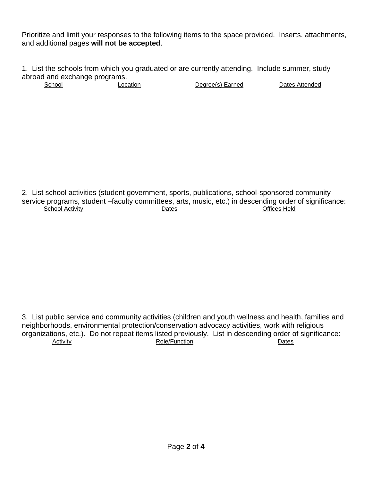Prioritize and limit your responses to the following items to the space provided. Inserts, attachments, and additional pages **will not be accepted**.

1. List the schools from which you graduated or are currently attending. Include summer, study abroad and exchange programs.<br>School Loca

Location Degree(s) Earned Dates Attended

2. List school activities (student government, sports, publications, school-sponsored community service programs, student –faculty committees, arts, music, etc.) in descending order of significance: School Activity Dates

3. List public service and community activities (children and youth wellness and health, families and neighborhoods, environmental protection/conservation advocacy activities, work with religious organizations, etc.). Do not repeat items listed previously. List in descending order of significance: Activity Dates **Role/Function CONSIDER IN THE CONSIDER ACTIVITY** Dates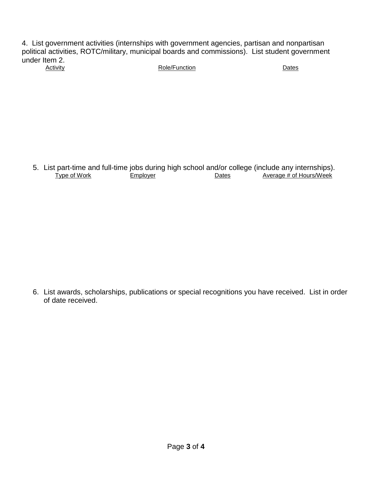4. List government activities (internships with government agencies, partisan and nonpartisan political activities, ROTC/military, municipal boards and commissions). List student government under Item 2.<br>Activity Role/Function Dates

5. List part-time and full-time jobs during high school and/or college (include any internships).<br>Type of Work Employer Benes Dates Average # of Hours/Week Employer Dates Average # of Hours/Week

6. List awards, scholarships, publications or special recognitions you have received. List in order of date received.